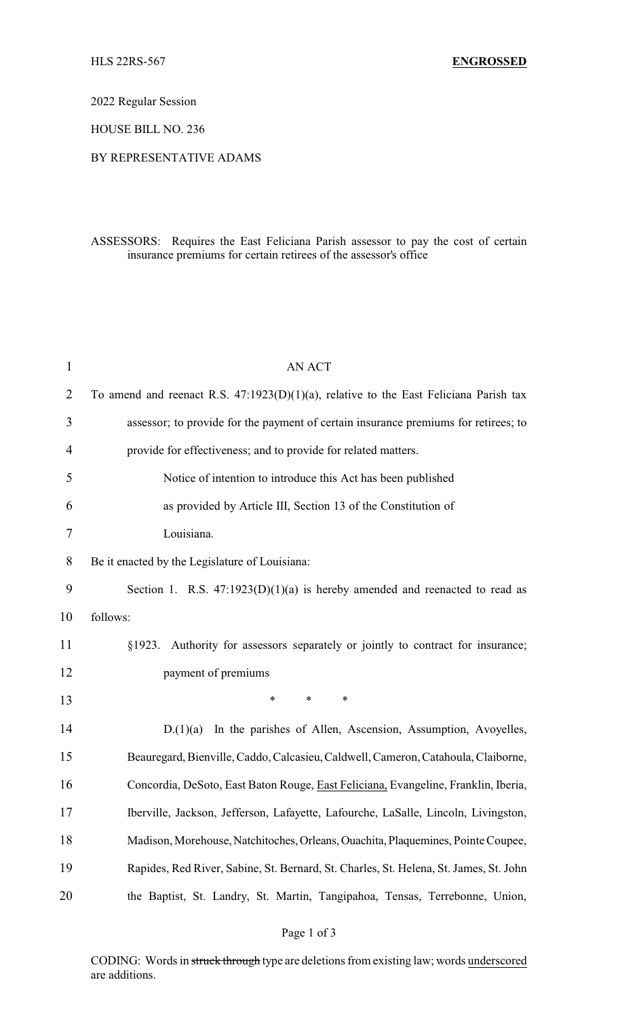2022 Regular Session

HOUSE BILL NO. 236

## BY REPRESENTATIVE ADAMS

## ASSESSORS: Requires the East Feliciana Parish assessor to pay the cost of certain insurance premiums for certain retirees of the assessor's office

| 1              | <b>AN ACT</b>                                                                            |
|----------------|------------------------------------------------------------------------------------------|
| $\overline{2}$ | To amend and reenact R.S. $47:1923(D)(1)(a)$ , relative to the East Feliciana Parish tax |
| 3              | assessor; to provide for the payment of certain insurance premiums for retirees; to      |
| 4              | provide for effectiveness; and to provide for related matters.                           |
| 5              | Notice of intention to introduce this Act has been published                             |
| 6              | as provided by Article III, Section 13 of the Constitution of                            |
| 7              | Louisiana.                                                                               |
| 8              | Be it enacted by the Legislature of Louisiana:                                           |
| 9              | Section 1. R.S. $47:1923(D)(1)(a)$ is hereby amended and reenacted to read as            |
| 10             | follows:                                                                                 |
| 11             | §1923. Authority for assessors separately or jointly to contract for insurance;          |
| 12             | payment of premiums                                                                      |
| 13             | $\ast$<br>$\ast$<br>∗                                                                    |
| 14             | D.(1)(a)<br>In the parishes of Allen, Ascension, Assumption, Avoyelles,                  |
| 15             | Beauregard, Bienville, Caddo, Calcasieu, Caldwell, Cameron, Catahoula, Claiborne,        |
| 16             | Concordia, DeSoto, East Baton Rouge, East Feliciana, Evangeline, Franklin, Iberia,       |
| 17             | Iberville, Jackson, Jefferson, Lafayette, Lafourche, LaSalle, Lincoln, Livingston,       |
| 18             | Madison, Morehouse, Natchitoches, Orleans, Ouachita, Plaquemines, Pointe Coupee,         |
| 19             | Rapides, Red River, Sabine, St. Bernard, St. Charles, St. Helena, St. James, St. John    |
| 20             | the Baptist, St. Landry, St. Martin, Tangipahoa, Tensas, Terrebonne, Union,              |
|                |                                                                                          |

## Page 1 of 3

CODING: Words in struck through type are deletions from existing law; words underscored are additions.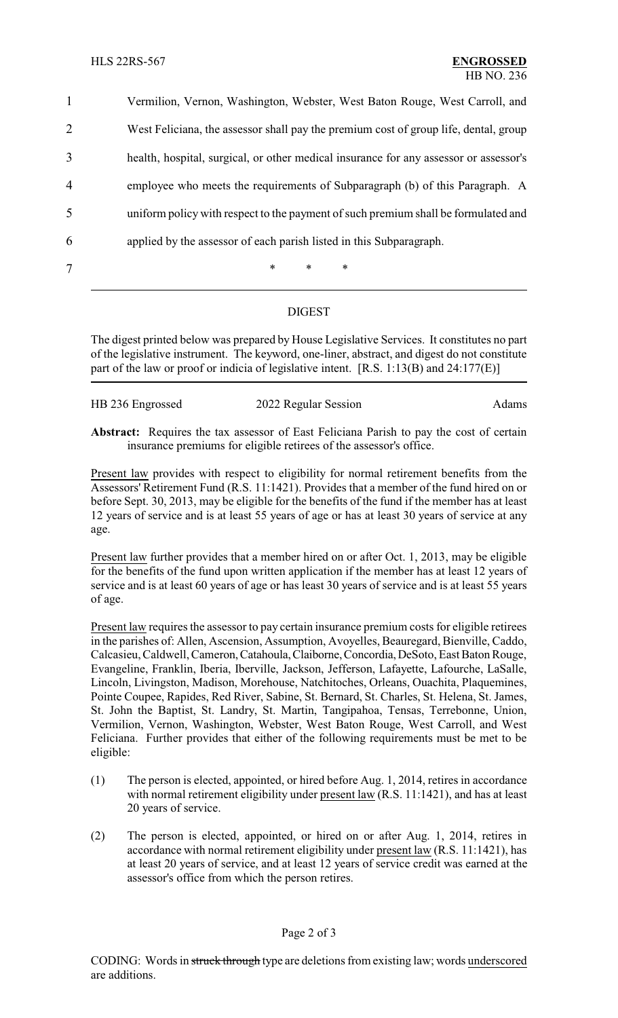Vermilion, Vernon, Washington, Webster, West Baton Rouge, West Carroll, and West Feliciana, the assessor shall pay the premium cost of group life, dental, group health, hospital, surgical, or other medical insurance for any assessor or assessor's employee who meets the requirements of Subparagraph (b) of this Paragraph. A uniform policy with respect to the payment of such premium shall be formulated and applied by the assessor of each parish listed in this Subparagraph. 7 \* \* \* \*

## DIGEST

The digest printed below was prepared by House Legislative Services. It constitutes no part of the legislative instrument. The keyword, one-liner, abstract, and digest do not constitute part of the law or proof or indicia of legislative intent. [R.S. 1:13(B) and 24:177(E)]

| HB 236 Engrossed | 2022 Regular Session | Adams |
|------------------|----------------------|-------|
|                  |                      |       |

**Abstract:** Requires the tax assessor of East Feliciana Parish to pay the cost of certain insurance premiums for eligible retirees of the assessor's office.

Present law provides with respect to eligibility for normal retirement benefits from the Assessors' Retirement Fund (R.S. 11:1421). Provides that a member of the fund hired on or before Sept. 30, 2013, may be eligible for the benefits of the fund if the member has at least 12 years of service and is at least 55 years of age or has at least 30 years of service at any age.

Present law further provides that a member hired on or after Oct. 1, 2013, may be eligible for the benefits of the fund upon written application if the member has at least 12 years of service and is at least 60 years of age or has least 30 years of service and is at least 55 years of age.

Present law requires the assessor to pay certain insurance premium costs for eligible retirees in the parishes of: Allen, Ascension, Assumption, Avoyelles, Beauregard, Bienville, Caddo, Calcasieu, Caldwell, Cameron,Catahoula,Claiborne,Concordia,DeSoto, East Baton Rouge, Evangeline, Franklin, Iberia, Iberville, Jackson, Jefferson, Lafayette, Lafourche, LaSalle, Lincoln, Livingston, Madison, Morehouse, Natchitoches, Orleans, Ouachita, Plaquemines, Pointe Coupee, Rapides, Red River, Sabine, St. Bernard, St. Charles, St. Helena, St. James, St. John the Baptist, St. Landry, St. Martin, Tangipahoa, Tensas, Terrebonne, Union, Vermilion, Vernon, Washington, Webster, West Baton Rouge, West Carroll, and West Feliciana. Further provides that either of the following requirements must be met to be eligible:

- (1) The person is elected, appointed, or hired before Aug. 1, 2014, retires in accordance with normal retirement eligibility under present law (R.S. 11:1421), and has at least 20 years of service.
- (2) The person is elected, appointed, or hired on or after Aug. 1, 2014, retires in accordance with normal retirement eligibility under present law (R.S. 11:1421), has at least 20 years of service, and at least 12 years of service credit was earned at the assessor's office from which the person retires.